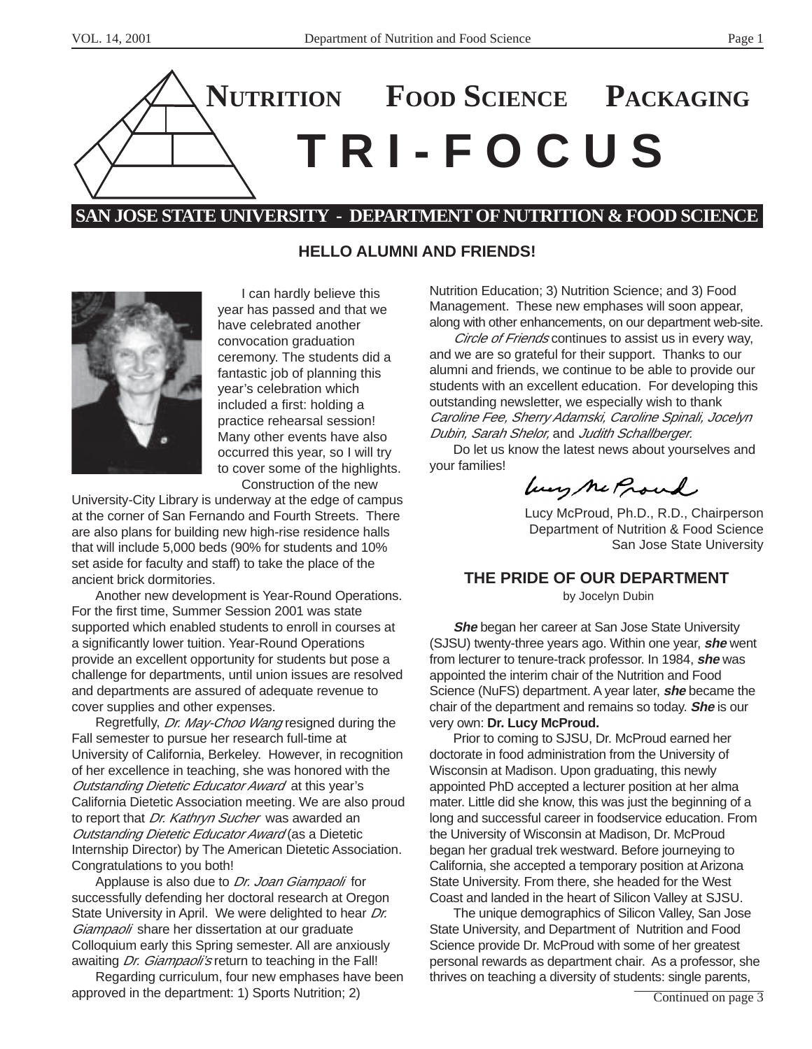

# **SAN JOSE STATE UNIVERSITY - DEPARTMENT OF NUTRITION & FOOD SCIENCE**

### **HELLO ALUMNI AND FRIENDS!**



I can hardly believe this year has passed and that we have celebrated another convocation graduation ceremony. The students did a fantastic job of planning this year's celebration which included a first: holding a practice rehearsal session! Many other events have also occurred this year, so I will try to cover some of the highlights. Construction of the new

University-City Library is underway at the edge of campus at the corner of San Fernando and Fourth Streets. There are also plans for building new high-rise residence halls that will include 5,000 beds (90% for students and 10% set aside for faculty and staff) to take the place of the ancient brick dormitories.

Another new development is Year-Round Operations. For the first time, Summer Session 2001 was state supported which enabled students to enroll in courses at a significantly lower tuition. Year-Round Operations provide an excellent opportunity for students but pose a challenge for departments, until union issues are resolved and departments are assured of adequate revenue to cover supplies and other expenses.

Regretfully, *Dr. May-Choo Wang* resigned during the Fall semester to pursue her research full-time at University of California, Berkeley. However, in recognition of her excellence in teaching, she was honored with the Outstanding Dietetic Educator Award at this year's California Dietetic Association meeting. We are also proud to report that Dr. Kathryn Sucher was awarded an **Outstanding Dietetic Educator Award (as a Dietetic** Internship Director) by The American Dietetic Association. Congratulations to you both!

Applause is also due to Dr. Joan Giampaoli for successfully defending her doctoral research at Oregon State University in April. We were delighted to hear Dr. Giampaoli share her dissertation at our graduate Colloquium early this Spring semester. All are anxiously awaiting *Dr. Giampaoli's* return to teaching in the Fall!

Regarding curriculum, four new emphases have been approved in the department: 1) Sports Nutrition; 2)

Nutrition Education; 3) Nutrition Science; and 3) Food Management. These new emphases will soon appear, along with other enhancements, on our department web-site.

Circle of Friends continues to assist us in every way, and we are so grateful for their support. Thanks to our alumni and friends, we continue to be able to provide our students with an excellent education. For developing this outstanding newsletter, we especially wish to thank Caroline Fee, Sherry Adamski, Caroline Spinali, Jocelyn Dubin, Sarah Shelor, and Judith Schallberger.

Do let us know the latest news about yourselves and your families!

Lucy Me Proud

Lucy McProud, Ph.D., R.D., Chairperson Department of Nutrition & Food Science San Jose State University

### **THE PRIDE OF OUR DEPARTMENT**

by Jocelyn Dubin

**She** began her career at San Jose State University (SJSU) twenty-three years ago. Within one year, **she** went from lecturer to tenure-track professor. In 1984, **she** was appointed the interim chair of the Nutrition and Food Science (NuFS) department. A year later, **she** became the chair of the department and remains so today. **She** is our very own: **Dr. Lucy McProud.**

Prior to coming to SJSU, Dr. McProud earned her doctorate in food administration from the University of Wisconsin at Madison. Upon graduating, this newly appointed PhD accepted a lecturer position at her alma mater. Little did she know, this was just the beginning of a long and successful career in foodservice education. From the University of Wisconsin at Madison, Dr. McProud began her gradual trek westward. Before journeying to California, she accepted a temporary position at Arizona State University. From there, she headed for the West Coast and landed in the heart of Silicon Valley at SJSU.

The unique demographics of Silicon Valley, San Jose State University, and Department of Nutrition and Food Science provide Dr. McProud with some of her greatest personal rewards as department chair. As a professor, she thrives on teaching a diversity of students: single parents,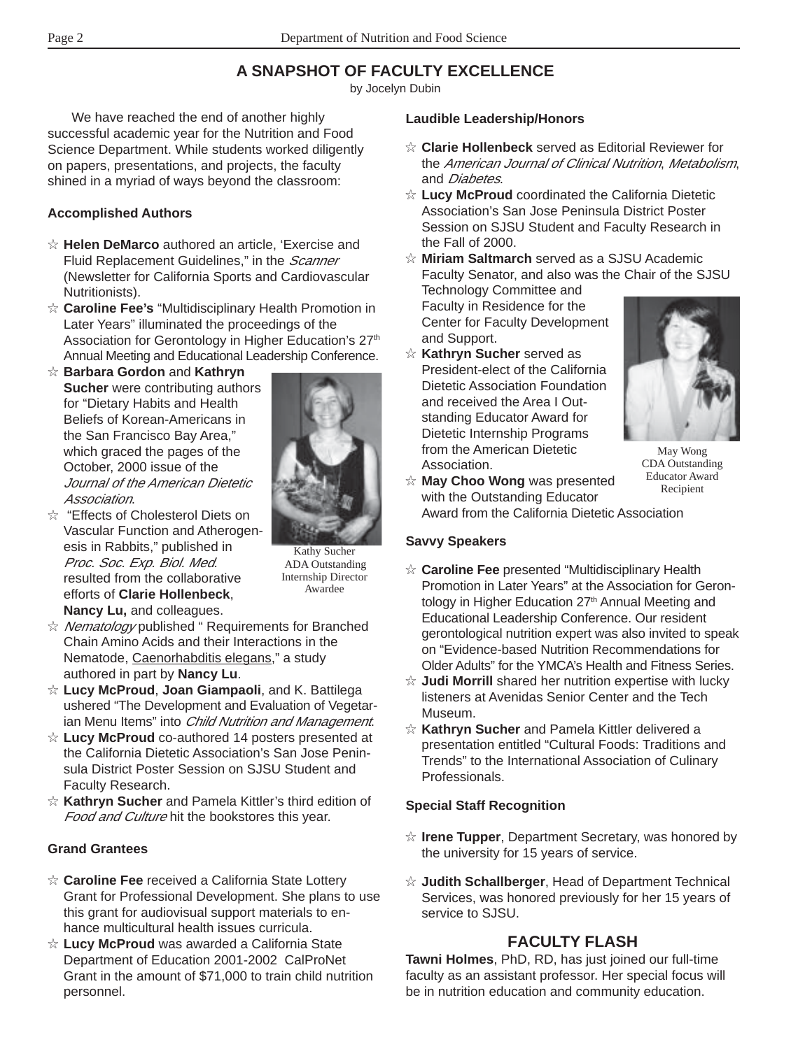# **A SNAPSHOT OF FACULTY EXCELLENCE**

by Jocelyn Dubin

We have reached the end of another highly successful academic year for the Nutrition and Food Science Department. While students worked diligently on papers, presentations, and projects, the faculty shined in a myriad of ways beyond the classroom:

### **Accomplished Authors**

- ✩ **Helen DeMarco** authored an article, 'Exercise and Fluid Replacement Guidelines," in the *Scanner* (Newsletter for California Sports and Cardiovascular Nutritionists).
- ✩ **Caroline Fee's** "Multidisciplinary Health Promotion in Later Years" illuminated the proceedings of the Association for Gerontology in Higher Education's 27<sup>th</sup> Annual Meeting and Educational Leadership Conference.
- ✩ **Barbara Gordon** and **Kathryn Sucher** were contributing authors for "Dietary Habits and Health Beliefs of Korean-Americans in the San Francisco Bay Area," which graced the pages of the October, 2000 issue of the Journal of the American Dietetic Association.
- ✩ "Effects of Cholesterol Diets on Vascular Function and Atherogenesis in Rabbits," published in Proc. Soc. Exp. Biol. Med. resulted from the collaborative efforts of **Clarie Hollenbeck**, **Nancy Lu,** and colleagues.

Kathy Sucher ADA Outstanding Internship Director Awardee

- ☆ Nematology published " Requirements for Branched Chain Amino Acids and their Interactions in the Nematode, Caenorhabditis elegans," a study authored in part by **Nancy Lu**.
- ✩ **Lucy McProud**, **Joan Giampaoli**, and K. Battilega ushered "The Development and Evaluation of Vegetarian Menu Items" into Child Nutrition and Management.
- ✩ **Lucy McProud** co-authored 14 posters presented at the California Dietetic Association's San Jose Peninsula District Poster Session on SJSU Student and Faculty Research.
- ✩ **Kathryn Sucher** and Pamela Kittler's third edition of Food and Culture hit the bookstores this year.

### **Grand Grantees**

- ✩ **Caroline Fee** received a California State Lottery Grant for Professional Development. She plans to use this grant for audiovisual support materials to enhance multicultural health issues curricula.
- ✩ **Lucy McProud** was awarded a California State Department of Education 2001-2002 CalProNet Grant in the amount of \$71,000 to train child nutrition personnel.

### **Laudible Leadership/Honors**

- ✩ **Clarie Hollenbeck** served as Editorial Reviewer for the American Journal of Clinical Nutrition, Metabolism, and *Diabetes*.
- ✩ **Lucy McProud** coordinated the California Dietetic Association's San Jose Peninsula District Poster Session on SJSU Student and Faculty Research in the Fall of 2000.

✩ **Miriam Saltmarch** served as a SJSU Academic Faculty Senator, and also was the Chair of the SJSU

Technology Committee and Faculty in Residence for the Center for Faculty Development and Support.

✩ **Kathryn Sucher** served as President-elect of the California Dietetic Association Foundation and received the Area I Outstanding Educator Award for Dietetic Internship Programs from the American Dietetic Association.



May Wong CDA Outstanding Educator Award Recipient

✩ **May Choo Wong** was presented with the Outstanding Educator Award from the California Dietetic Association

### **Savvy Speakers**

- ✩ **Caroline Fee** presented "Multidisciplinary Health Promotion in Later Years" at the Association for Gerontology in Higher Education 27<sup>th</sup> Annual Meeting and Educational Leadership Conference. Our resident gerontological nutrition expert was also invited to speak on "Evidence-based Nutrition Recommendations for Older Adults" for the YMCA's Health and Fitness Series.
- ✩ **Judi Morrill** shared her nutrition expertise with lucky listeners at Avenidas Senior Center and the Tech Museum.
- ✩ **Kathryn Sucher** and Pamela Kittler delivered a presentation entitled "Cultural Foods: Traditions and Trends" to the International Association of Culinary Professionals.

### **Special Staff Recognition**

- ✩ **Irene Tupper**, Department Secretary, was honored by the university for 15 years of service.
- ✩ **Judith Schallberger**, Head of Department Technical Services, was honored previously for her 15 years of service to SJSU.

# **FACULTY FLASH**

**Tawni Holmes**, PhD, RD, has just joined our full-time faculty as an assistant professor. Her special focus will be in nutrition education and community education.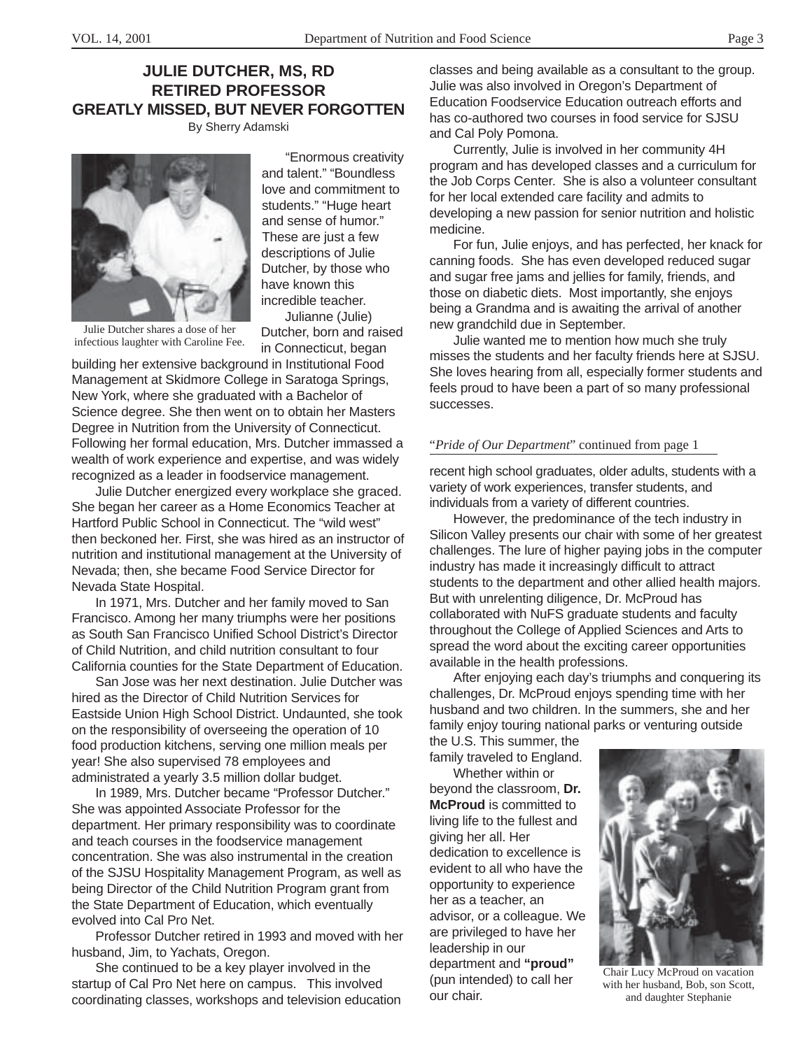### **JULIE DUTCHER, MS, RD RETIRED PROFESSOR GREATLY MISSED, BUT NEVER FORGOTTEN** By Sherry Adamski

"Enormous creativity and talent." "Boundless love and commitment to students." "Huge heart and sense of humor." These are just a few descriptions of Julie Dutcher, by those who have known this incredible teacher. Julianne (Julie)

Dutcher, born and raised in Connecticut, began Julie Dutcher shares a dose of her infectious laughter with Caroline Fee.

building her extensive background in Institutional Food Management at Skidmore College in Saratoga Springs, New York, where she graduated with a Bachelor of Science degree. She then went on to obtain her Masters Degree in Nutrition from the University of Connecticut. Following her formal education, Mrs. Dutcher immassed a wealth of work experience and expertise, and was widely recognized as a leader in foodservice management.

Julie Dutcher energized every workplace she graced. She began her career as a Home Economics Teacher at Hartford Public School in Connecticut. The "wild west" then beckoned her. First, she was hired as an instructor of nutrition and institutional management at the University of Nevada; then, she became Food Service Director for Nevada State Hospital.

In 1971, Mrs. Dutcher and her family moved to San Francisco. Among her many triumphs were her positions as South San Francisco Unified School District's Director of Child Nutrition, and child nutrition consultant to four California counties for the State Department of Education.

San Jose was her next destination. Julie Dutcher was hired as the Director of Child Nutrition Services for Eastside Union High School District. Undaunted, she took on the responsibility of overseeing the operation of 10 food production kitchens, serving one million meals per year! She also supervised 78 employees and administrated a yearly 3.5 million dollar budget.

In 1989, Mrs. Dutcher became "Professor Dutcher." She was appointed Associate Professor for the department. Her primary responsibility was to coordinate and teach courses in the foodservice management concentration. She was also instrumental in the creation of the SJSU Hospitality Management Program, as well as being Director of the Child Nutrition Program grant from the State Department of Education, which eventually evolved into Cal Pro Net.

Professor Dutcher retired in 1993 and moved with her husband, Jim, to Yachats, Oregon.

She continued to be a key player involved in the startup of Cal Pro Net here on campus. This involved coordinating classes, workshops and television education classes and being available as a consultant to the group. Julie was also involved in Oregon's Department of Education Foodservice Education outreach efforts and has co-authored two courses in food service for SJSU and Cal Poly Pomona.

Currently, Julie is involved in her community 4H program and has developed classes and a curriculum for the Job Corps Center. She is also a volunteer consultant for her local extended care facility and admits to developing a new passion for senior nutrition and holistic medicine.

For fun, Julie enjoys, and has perfected, her knack for canning foods. She has even developed reduced sugar and sugar free jams and jellies for family, friends, and those on diabetic diets. Most importantly, she enjoys being a Grandma and is awaiting the arrival of another new grandchild due in September.

Julie wanted me to mention how much she truly misses the students and her faculty friends here at SJSU. She loves hearing from all, especially former students and feels proud to have been a part of so many professional successes.

#### "*Pride of Our Department*" continued from page 1

recent high school graduates, older adults, students with a variety of work experiences, transfer students, and individuals from a variety of different countries.

However, the predominance of the tech industry in Silicon Valley presents our chair with some of her greatest challenges. The lure of higher paying jobs in the computer industry has made it increasingly difficult to attract students to the department and other allied health majors. But with unrelenting diligence, Dr. McProud has collaborated with NuFS graduate students and faculty throughout the College of Applied Sciences and Arts to spread the word about the exciting career opportunities available in the health professions.

After enjoying each day's triumphs and conquering its challenges, Dr. McProud enjoys spending time with her husband and two children. In the summers, she and her family enjoy touring national parks or venturing outside

the U.S. This summer, the family traveled to England.

Whether within or beyond the classroom, **Dr. McProud** is committed to living life to the fullest and giving her all. Her dedication to excellence is evident to all who have the opportunity to experience her as a teacher, an advisor, or a colleague. We are privileged to have her leadership in our department and **"proud"** (pun intended) to call her our chair.

Chair Lucy McProud on vacation with her husband, Bob, son Scott, and daughter Stephanie



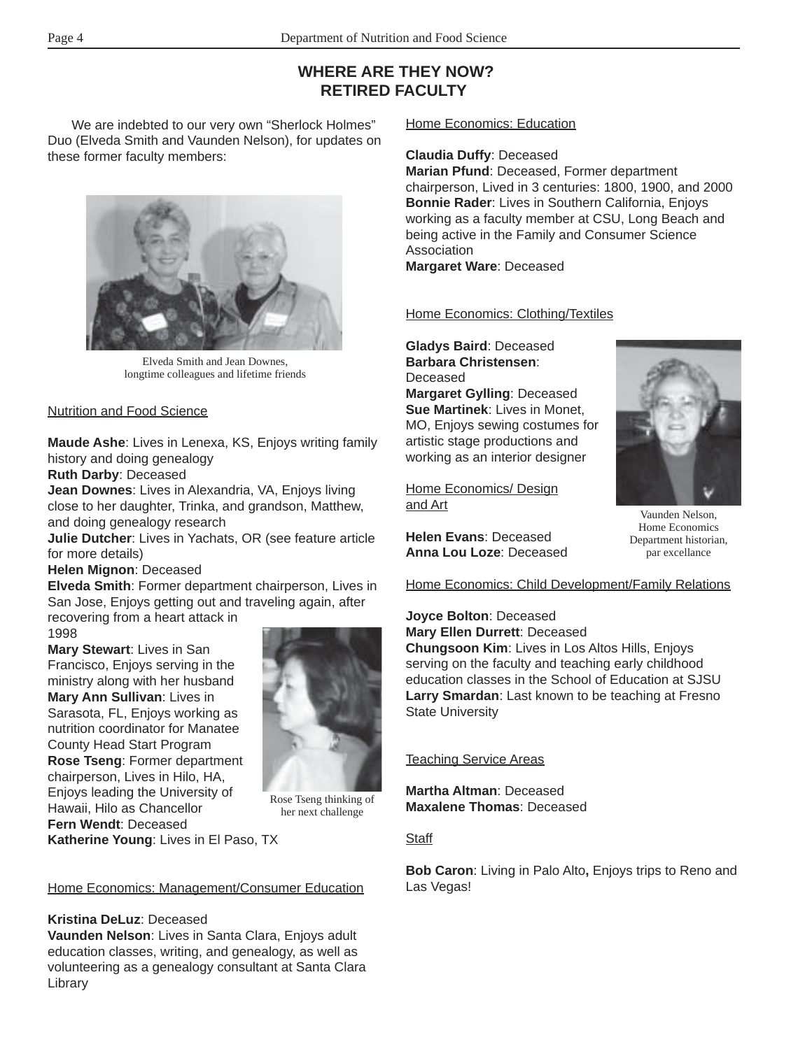# **WHERE ARE THEY NOW? RETIRED FACULTY**

We are indebted to our very own "Sherlock Holmes" Duo (Elveda Smith and Vaunden Nelson), for updates on these former faculty members:



Elveda Smith and Jean Downes, longtime colleagues and lifetime friends

#### Nutrition and Food Science

**Maude Ashe**: Lives in Lenexa, KS, Enjoys writing family history and doing genealogy

**Ruth Darby**: Deceased

**Jean Downes**: Lives in Alexandria, VA, Enjoys living close to her daughter, Trinka, and grandson, Matthew, and doing genealogy research

**Julie Dutcher**: Lives in Yachats, OR (see feature article for more details)

### **Helen Mignon**: Deceased

**Elveda Smith**: Former department chairperson, Lives in San Jose, Enjoys getting out and traveling again, after

recovering from a heart attack in 1998

**Mary Stewart**: Lives in San Francisco, Enjoys serving in the ministry along with her husband **Mary Ann Sullivan**: Lives in Sarasota, FL, Enjoys working as nutrition coordinator for Manatee County Head Start Program **Rose Tseng**: Former department chairperson, Lives in Hilo, HA, Enjoys leading the University of Hawaii, Hilo as Chancellor **Fern Wendt**: Deceased



Rose Tseng thinking of her next challenge

**Katherine Young**: Lives in El Paso, TX

### Home Economics: Management/Consumer Education

### **Kristina DeLuz**: Deceased

**Vaunden Nelson**: Lives in Santa Clara, Enjoys adult education classes, writing, and genealogy, as well as volunteering as a genealogy consultant at Santa Clara Library

### Home Economics: Education

#### **Claudia Duffy**: Deceased

**Marian Pfund**: Deceased, Former department chairperson, Lived in 3 centuries: 1800, 1900, and 2000 **Bonnie Rader**: Lives in Southern California, Enjoys working as a faculty member at CSU, Long Beach and being active in the Family and Consumer Science Association

**Margaret Ware**: Deceased

### Home Economics: Clothing/Textiles

**Gladys Baird**: Deceased **Barbara Christensen**: **Deceased Margaret Gylling**: Deceased **Sue Martinek**: Lives in Monet, MO, Enjoys sewing costumes for artistic stage productions and working as an interior designer

Home Economics/ Design and Art

**Helen Evans**: Deceased **Anna Lou Loze**: Deceased



Vaunden Nelson, Home Economics Department historian, par excellance

Home Economics: Child Development/Family Relations

**Joyce Bolton**: Deceased **Mary Ellen Durrett**: Deceased **Chungsoon Kim**: Lives in Los Altos Hills, Enjoys serving on the faculty and teaching early childhood education classes in the School of Education at SJSU **Larry Smardan**: Last known to be teaching at Fresno State University

### Teaching Service Areas

**Martha Altman**: Deceased **Maxalene Thomas**: Deceased

### **Staff**

**Bob Caron**: Living in Palo Alto**,** Enjoys trips to Reno and Las Vegas!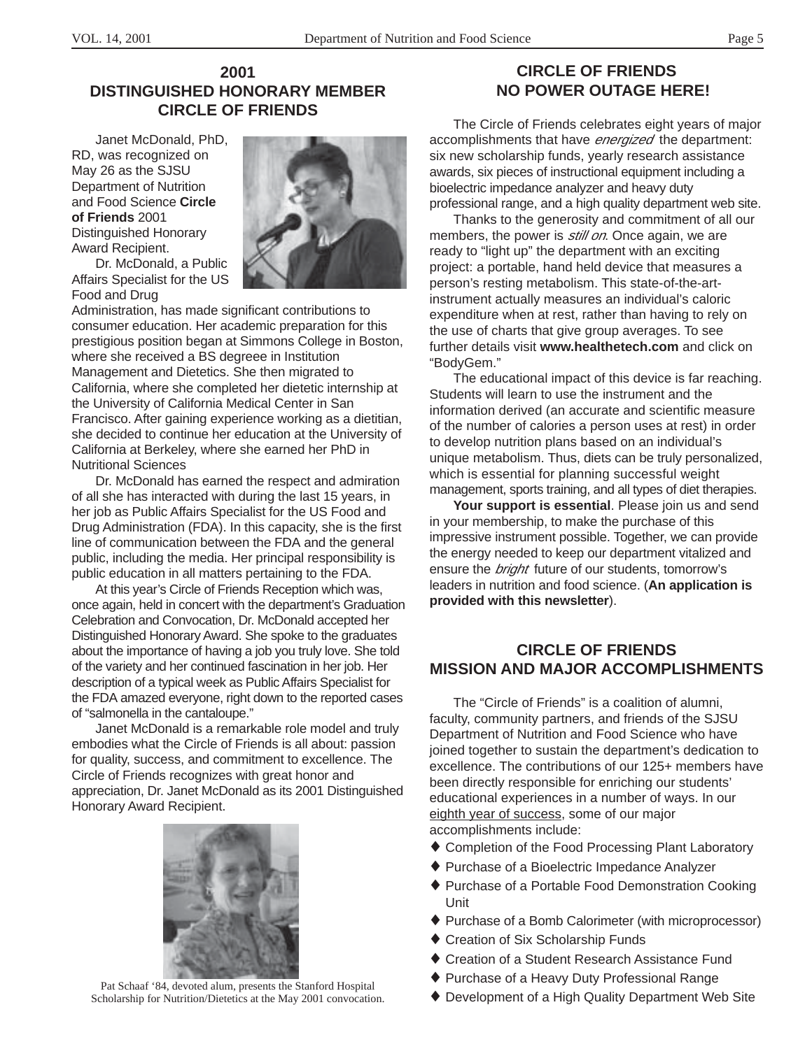# **2001 DISTINGUISHED HONORARY MEMBER CIRCLE OF FRIENDS**

Janet McDonald, PhD, RD, was recognized on May 26 as the SJSU Department of Nutrition and Food Science **Circle of Friends** 2001 Distinguished Honorary Award Recipient.

Dr. McDonald, a Public Affairs Specialist for the US Food and Drug



Administration, has made significant contributions to consumer education. Her academic preparation for this prestigious position began at Simmons College in Boston, where she received a BS degreee in Institution Management and Dietetics. She then migrated to California, where she completed her dietetic internship at the University of California Medical Center in San Francisco. After gaining experience working as a dietitian, she decided to continue her education at the University of California at Berkeley, where she earned her PhD in Nutritional Sciences

Dr. McDonald has earned the respect and admiration of all she has interacted with during the last 15 years, in her job as Public Affairs Specialist for the US Food and Drug Administration (FDA). In this capacity, she is the first line of communication between the FDA and the general public, including the media. Her principal responsibility is public education in all matters pertaining to the FDA.

At this year's Circle of Friends Reception which was, once again, held in concert with the department's Graduation Celebration and Convocation, Dr. McDonald accepted her Distinguished Honorary Award. She spoke to the graduates about the importance of having a job you truly love. She told of the variety and her continued fascination in her job. Her description of a typical week as Public Affairs Specialist for the FDA amazed everyone, right down to the reported cases of "salmonella in the cantaloupe."

Janet McDonald is a remarkable role model and truly embodies what the Circle of Friends is all about: passion for quality, success, and commitment to excellence. The Circle of Friends recognizes with great honor and appreciation, Dr. Janet McDonald as its 2001 Distinguished Honorary Award Recipient.



Pat Schaaf '84, devoted alum, presents the Stanford Hospital<br>  $\bullet$  Development of a High Quality Department Web Site<br>  $\bullet$  Development of a High Quality Department Web Site Scholarship for Nutrition/Dietetics at the May 2001 convocation.

# **CIRCLE OF FRIENDS NO POWER OUTAGE HERE!**

The Circle of Friends celebrates eight years of major accomplishments that have energized the department: six new scholarship funds, yearly research assistance awards, six pieces of instructional equipment including a bioelectric impedance analyzer and heavy duty professional range, and a high quality department web site.

Thanks to the generosity and commitment of all our members, the power is *still on*. Once again, we are ready to "light up" the department with an exciting project: a portable, hand held device that measures a person's resting metabolism. This state-of-the-artinstrument actually measures an individual's caloric expenditure when at rest, rather than having to rely on the use of charts that give group averages. To see further details visit **www.healthetech.com** and click on "BodyGem."

The educational impact of this device is far reaching. Students will learn to use the instrument and the information derived (an accurate and scientific measure of the number of calories a person uses at rest) in order to develop nutrition plans based on an individual's unique metabolism. Thus, diets can be truly personalized, which is essential for planning successful weight management, sports training, and all types of diet therapies.

**Your support is essential**. Please join us and send in your membership, to make the purchase of this impressive instrument possible. Together, we can provide the energy needed to keep our department vitalized and ensure the *bright* future of our students, tomorrow's leaders in nutrition and food science. (**An application is provided with this newsletter**).

# **CIRCLE OF FRIENDS MISSION AND MAJOR ACCOMPLISHMENTS**

The "Circle of Friends" is a coalition of alumni, faculty, community partners, and friends of the SJSU Department of Nutrition and Food Science who have joined together to sustain the department's dedication to excellence. The contributions of our 125+ members have been directly responsible for enriching our students' educational experiences in a number of ways. In our eighth year of success, some of our major accomplishments include:

- ♦ Completion of the Food Processing Plant Laboratory
- ♦ Purchase of a Bioelectric Impedance Analyzer
- ♦ Purchase of a Portable Food Demonstration Cooking Unit
- ♦ Purchase of a Bomb Calorimeter (with microprocessor)
- ♦ Creation of Six Scholarship Funds
- ♦ Creation of a Student Research Assistance Fund
- ♦ Purchase of a Heavy Duty Professional Range
-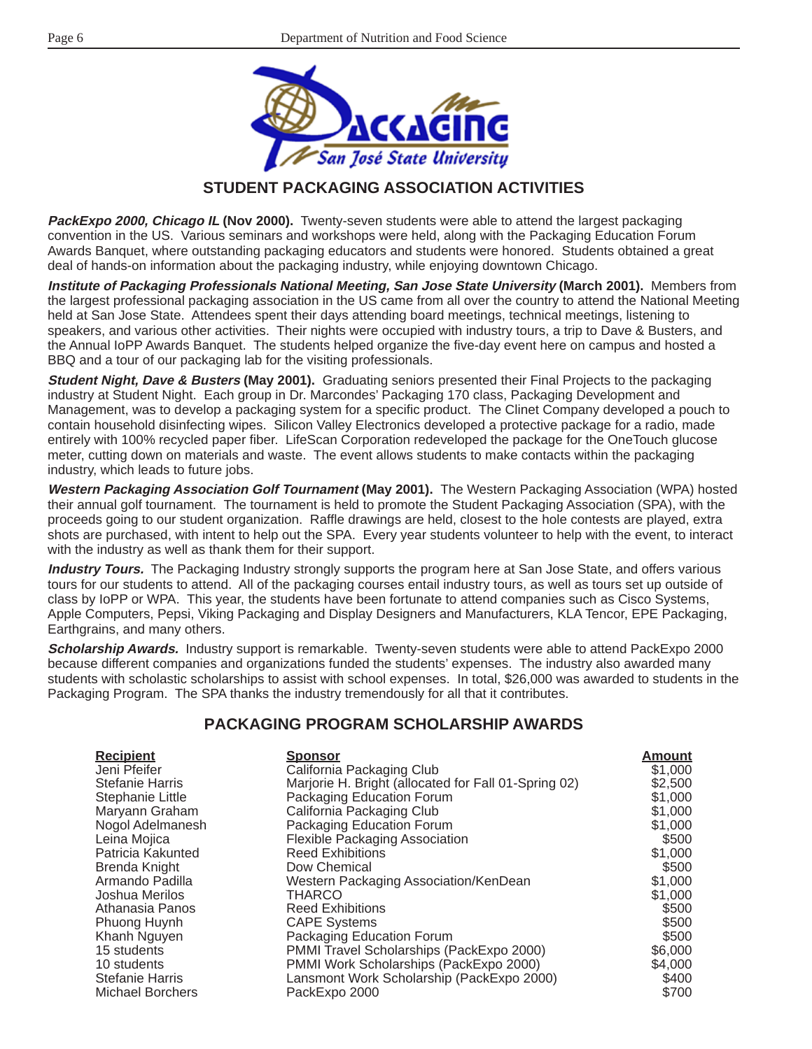

## **STUDENT PACKAGING ASSOCIATION ACTIVITIES**

**PackExpo 2000, Chicago IL (Nov 2000).** Twenty-seven students were able to attend the largest packaging convention in the US. Various seminars and workshops were held, along with the Packaging Education Forum Awards Banquet, where outstanding packaging educators and students were honored. Students obtained a great deal of hands-on information about the packaging industry, while enjoying downtown Chicago.

**Institute of Packaging Professionals National Meeting, San Jose State University (March 2001).** Members from the largest professional packaging association in the US came from all over the country to attend the National Meeting held at San Jose State. Attendees spent their days attending board meetings, technical meetings, listening to speakers, and various other activities. Their nights were occupied with industry tours, a trip to Dave & Busters, and the Annual IoPP Awards Banquet. The students helped organize the five-day event here on campus and hosted a BBQ and a tour of our packaging lab for the visiting professionals.

**Student Night, Dave & Busters (May 2001).** Graduating seniors presented their Final Projects to the packaging industry at Student Night. Each group in Dr. Marcondes' Packaging 170 class, Packaging Development and Management, was to develop a packaging system for a specific product. The Clinet Company developed a pouch to contain household disinfecting wipes. Silicon Valley Electronics developed a protective package for a radio, made entirely with 100% recycled paper fiber. LifeScan Corporation redeveloped the package for the OneTouch glucose meter, cutting down on materials and waste. The event allows students to make contacts within the packaging industry, which leads to future jobs.

**Western Packaging Association Golf Tournament (May 2001).** The Western Packaging Association (WPA) hosted their annual golf tournament. The tournament is held to promote the Student Packaging Association (SPA), with the proceeds going to our student organization. Raffle drawings are held, closest to the hole contests are played, extra shots are purchased, with intent to help out the SPA. Every year students volunteer to help with the event, to interact with the industry as well as thank them for their support.

**Industry Tours.** The Packaging Industry strongly supports the program here at San Jose State, and offers various tours for our students to attend. All of the packaging courses entail industry tours, as well as tours set up outside of class by IoPP or WPA. This year, the students have been fortunate to attend companies such as Cisco Systems, Apple Computers, Pepsi, Viking Packaging and Display Designers and Manufacturers, KLA Tencor, EPE Packaging, Earthgrains, and many others.

**Scholarship Awards.** Industry support is remarkable. Twenty-seven students were able to attend PackExpo 2000 because different companies and organizations funded the students' expenses. The industry also awarded many students with scholastic scholarships to assist with school expenses. In total, \$26,000 was awarded to students in the Packaging Program. The SPA thanks the industry tremendously for all that it contributes.

### **PACKAGING PROGRAM SCHOLARSHIP AWARDS**

| <b>Recipient</b>        | <b>Sponsor</b>                                       | Amount  |
|-------------------------|------------------------------------------------------|---------|
| Jeni Pfeifer            | California Packaging Club                            | \$1,000 |
| <b>Stefanie Harris</b>  | Marjorie H. Bright (allocated for Fall 01-Spring 02) | \$2,500 |
| Stephanie Little        | Packaging Education Forum                            | \$1,000 |
| Maryann Graham          | California Packaging Club                            | \$1,000 |
| Nogol Adelmanesh        | Packaging Education Forum                            | \$1,000 |
| Leina Mojica            | <b>Flexible Packaging Association</b>                | \$500   |
| Patricia Kakunted       | <b>Reed Exhibitions</b>                              | \$1,000 |
| Brenda Knight           | Dow Chemical                                         | \$500   |
| Armando Padilla         | Western Packaging Association/KenDean                | \$1,000 |
| Joshua Merilos          | <b>THARCO</b>                                        | \$1,000 |
| Athanasia Panos         | <b>Reed Exhibitions</b>                              | \$500   |
| Phuong Huynh            | <b>CAPE Systems</b>                                  | \$500   |
| Khanh Nguyen            | Packaging Education Forum                            | \$500   |
| 15 students             | PMMI Travel Scholarships (PackExpo 2000)             | \$6,000 |
| 10 students             | PMMI Work Scholarships (PackExpo 2000)               | \$4,000 |
| <b>Stefanie Harris</b>  | Lansmont Work Scholarship (PackExpo 2000)            | \$400   |
| <b>Michael Borchers</b> | PackExpo 2000                                        | \$700   |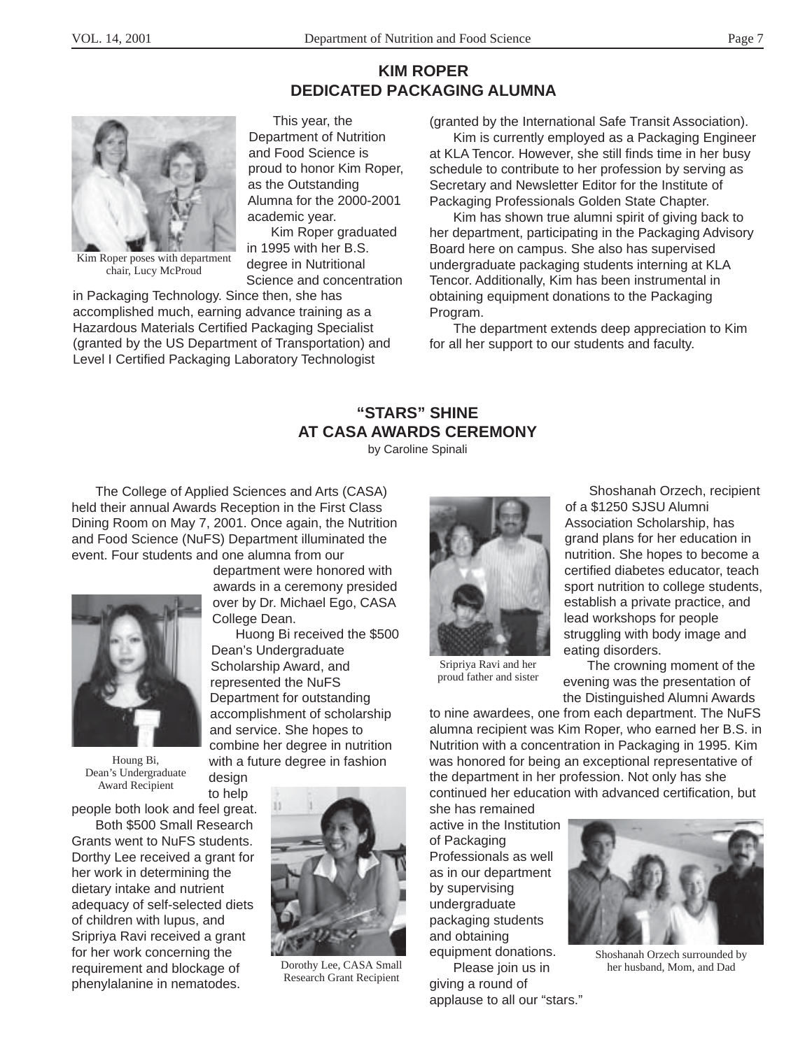# **KIM ROPER DEDICATED PACKAGING ALUMNA**



Kim Roper poses with department chair, Lucy McProud

in Packaging Technology. Since then, she has accomplished much, earning advance training as a Hazardous Materials Certified Packaging Specialist (granted by the US Department of Transportation) and Level I Certified Packaging Laboratory Technologist

(granted by the International Safe Transit Association).

Kim is currently employed as a Packaging Engineer at KLA Tencor. However, she still finds time in her busy schedule to contribute to her profession by serving as Secretary and Newsletter Editor for the Institute of Packaging Professionals Golden State Chapter.

Kim has shown true alumni spirit of giving back to her department, participating in the Packaging Advisory Board here on campus. She also has supervised undergraduate packaging students interning at KLA Tencor. Additionally, Kim has been instrumental in obtaining equipment donations to the Packaging Program.

The department extends deep appreciation to Kim for all her support to our students and faculty.

# **"STARS" SHINE AT CASA AWARDS CEREMONY**

by Caroline Spinali

The College of Applied Sciences and Arts (CASA) held their annual Awards Reception in the First Class Dining Room on May 7, 2001. Once again, the Nutrition and Food Science (NuFS) Department illuminated the event. Four students and one alumna from our



Houng Bi, Dean's Undergraduate Award Recipient

to help people both look and feel great.

Both \$500 Small Research Grants went to NuFS students. Dorthy Lee received a grant for her work in determining the dietary intake and nutrient adequacy of self-selected diets of children with lupus, and Sripriya Ravi received a grant for her work concerning the requirement and blockage of phenylalanine in nematodes.

department were honored with awards in a ceremony presided over by Dr. Michael Ego, CASA College Dean.

This year, the Department of Nutrition and Food Science is proud to honor Kim Roper,

as the Outstanding Alumna for the 2000-2001

in 1995 with her B.S. degree in Nutritional Science and concentration

Kim Roper graduated

academic year.

Huong Bi received the \$500 Dean's Undergraduate Scholarship Award, and represented the NuFS Department for outstanding accomplishment of scholarship and service. She hopes to combine her degree in nutrition with a future degree in fashion design



Dorothy Lee, CASA Small Research Grant Recipient



Shoshanah Orzech, recipient of a \$1250 SJSU Alumni Association Scholarship, has grand plans for her education in nutrition. She hopes to become a certified diabetes educator, teach sport nutrition to college students, establish a private practice, and lead workshops for people struggling with body image and eating disorders.

Sripriya Ravi and her proud father and sister

The crowning moment of the evening was the presentation of the Distinguished Alumni Awards

to nine awardees, one from each department. The NuFS alumna recipient was Kim Roper, who earned her B.S. in Nutrition with a concentration in Packaging in 1995. Kim was honored for being an exceptional representative of the department in her profession. Not only has she continued her education with advanced certification, but

she has remained active in the Institution of Packaging Professionals as well as in our department by supervising undergraduate packaging students and obtaining equipment donations.

Please join us in giving a round of applause to all our "stars."



Shoshanah Orzech surrounded by her husband, Mom, and Dad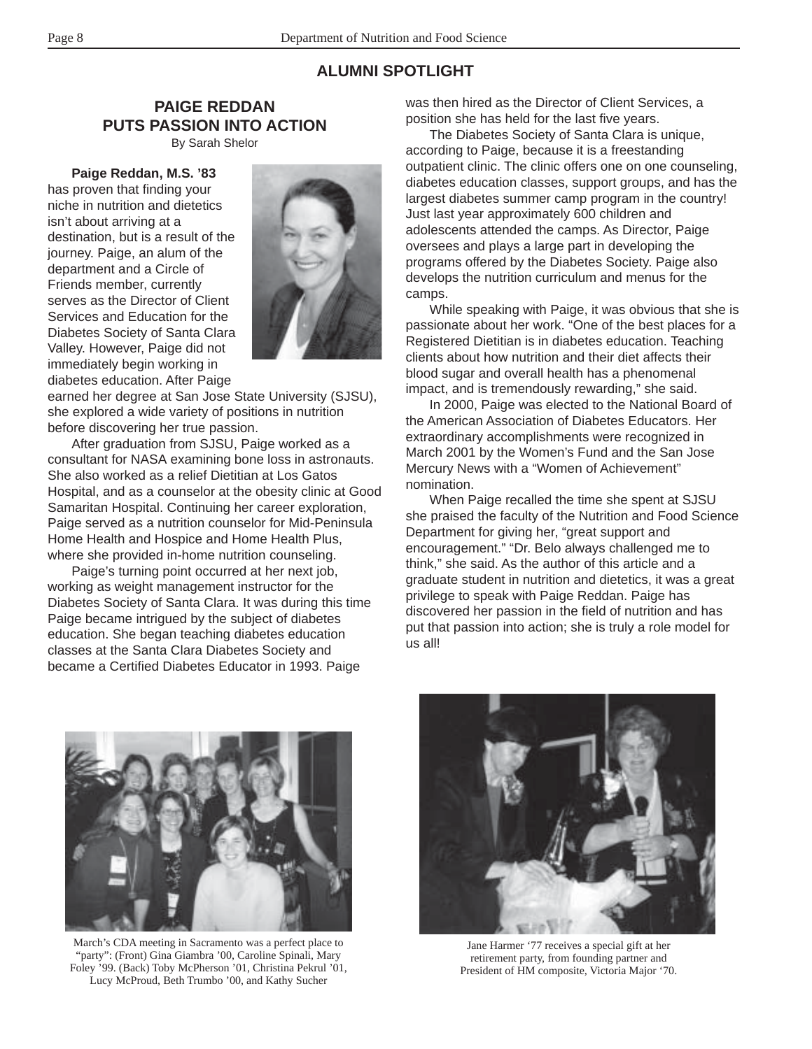### **ALUMNI SPOTLIGHT**

### **PAIGE REDDAN PUTS PASSION INTO ACTION**

By Sarah Shelor

#### **Paige Reddan, M.S. '83**

has proven that finding your niche in nutrition and dietetics isn't about arriving at a destination, but is a result of the journey. Paige, an alum of the department and a Circle of Friends member, currently serves as the Director of Client Services and Education for the Diabetes Society of Santa Clara Valley. However, Paige did not immediately begin working in diabetes education. After Paige



earned her degree at San Jose State University (SJSU), she explored a wide variety of positions in nutrition before discovering her true passion.

After graduation from SJSU, Paige worked as a consultant for NASA examining bone loss in astronauts. She also worked as a relief Dietitian at Los Gatos Hospital, and as a counselor at the obesity clinic at Good Samaritan Hospital. Continuing her career exploration, Paige served as a nutrition counselor for Mid-Peninsula Home Health and Hospice and Home Health Plus, where she provided in-home nutrition counseling.

Paige's turning point occurred at her next job, working as weight management instructor for the Diabetes Society of Santa Clara. It was during this time Paige became intrigued by the subject of diabetes education. She began teaching diabetes education classes at the Santa Clara Diabetes Society and became a Certified Diabetes Educator in 1993. Paige

was then hired as the Director of Client Services, a position she has held for the last five years.

The Diabetes Society of Santa Clara is unique, according to Paige, because it is a freestanding outpatient clinic. The clinic offers one on one counseling, diabetes education classes, support groups, and has the largest diabetes summer camp program in the country! Just last year approximately 600 children and adolescents attended the camps. As Director, Paige oversees and plays a large part in developing the programs offered by the Diabetes Society. Paige also develops the nutrition curriculum and menus for the camps.

While speaking with Paige, it was obvious that she is passionate about her work. "One of the best places for a Registered Dietitian is in diabetes education. Teaching clients about how nutrition and their diet affects their blood sugar and overall health has a phenomenal impact, and is tremendously rewarding," she said.

In 2000, Paige was elected to the National Board of the American Association of Diabetes Educators. Her extraordinary accomplishments were recognized in March 2001 by the Women's Fund and the San Jose Mercury News with a "Women of Achievement" nomination.

When Paige recalled the time she spent at SJSU she praised the faculty of the Nutrition and Food Science Department for giving her, "great support and encouragement." "Dr. Belo always challenged me to think," she said. As the author of this article and a graduate student in nutrition and dietetics, it was a great privilege to speak with Paige Reddan. Paige has discovered her passion in the field of nutrition and has put that passion into action; she is truly a role model for us all!



March's CDA meeting in Sacramento was a perfect place to "party": (Front) Gina Giambra '00, Caroline Spinali, Mary Foley '99. (Back) Toby McPherson '01, Christina Pekrul '01, Lucy McProud, Beth Trumbo '00, and Kathy Sucher



Jane Harmer '77 receives a special gift at her retirement party, from founding partner and President of HM composite, Victoria Major '70.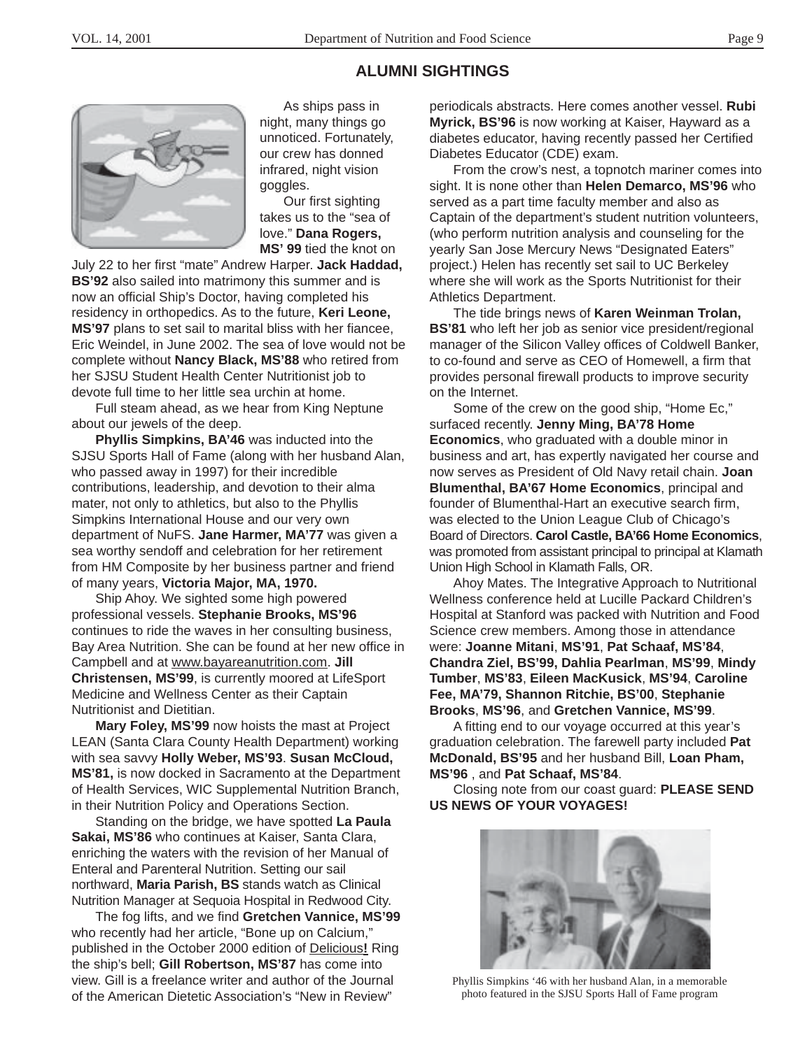## **ALUMNI SIGHTINGS**



As ships pass in night, many things go unnoticed. Fortunately, our crew has donned infrared, night vision goggles.

Our first sighting takes us to the "sea of love." **Dana Rogers, MS' 99** tied the knot on

July 22 to her first "mate" Andrew Harper. **Jack Haddad, BS'92** also sailed into matrimony this summer and is now an official Ship's Doctor, having completed his residency in orthopedics. As to the future, **Keri Leone, MS'97** plans to set sail to marital bliss with her fiancee, Eric Weindel, in June 2002. The sea of love would not be complete without **Nancy Black, MS'88** who retired from her SJSU Student Health Center Nutritionist job to devote full time to her little sea urchin at home.

Full steam ahead, as we hear from King Neptune about our jewels of the deep.

**Phyllis Simpkins, BA'46** was inducted into the SJSU Sports Hall of Fame (along with her husband Alan, who passed away in 1997) for their incredible contributions, leadership, and devotion to their alma mater, not only to athletics, but also to the Phyllis Simpkins International House and our very own department of NuFS. **Jane Harmer, MA'77** was given a sea worthy sendoff and celebration for her retirement from HM Composite by her business partner and friend of many years, **Victoria Major, MA, 1970.**

Ship Ahoy. We sighted some high powered professional vessels. **Stephanie Brooks, MS'96** continues to ride the waves in her consulting business, Bay Area Nutrition. She can be found at her new office in Campbell and at www.bayareanutrition.com. **Jill Christensen, MS'99**, is currently moored at LifeSport Medicine and Wellness Center as their Captain Nutritionist and Dietitian.

**Mary Foley, MS'99** now hoists the mast at Project LEAN (Santa Clara County Health Department) working with sea savvy **Holly Weber, MS'93**. **Susan McCloud, MS'81,** is now docked in Sacramento at the Department of Health Services, WIC Supplemental Nutrition Branch, in their Nutrition Policy and Operations Section.

Standing on the bridge, we have spotted **La Paula Sakai, MS'86** who continues at Kaiser, Santa Clara, enriching the waters with the revision of her Manual of Enteral and Parenteral Nutrition. Setting our sail northward, **Maria Parish, BS** stands watch as Clinical Nutrition Manager at Sequoia Hospital in Redwood City.

The fog lifts, and we find **Gretchen Vannice, MS'99** who recently had her article, "Bone up on Calcium," published in the October 2000 edition of Delicious**!** Ring the ship's bell; **Gill Robertson, MS'87** has come into view. Gill is a freelance writer and author of the Journal of the American Dietetic Association's "New in Review"

periodicals abstracts. Here comes another vessel. **Rubi Myrick, BS'96** is now working at Kaiser, Hayward as a diabetes educator, having recently passed her Certified Diabetes Educator (CDE) exam.

From the crow's nest, a topnotch mariner comes into sight. It is none other than **Helen Demarco, MS'96** who served as a part time faculty member and also as Captain of the department's student nutrition volunteers, (who perform nutrition analysis and counseling for the yearly San Jose Mercury News "Designated Eaters" project.) Helen has recently set sail to UC Berkeley where she will work as the Sports Nutritionist for their Athletics Department.

The tide brings news of **Karen Weinman Trolan, BS'81** who left her job as senior vice president/regional manager of the Silicon Valley offices of Coldwell Banker, to co-found and serve as CEO of Homewell, a firm that provides personal firewall products to improve security on the Internet.

Some of the crew on the good ship, "Home Ec," surfaced recently. **Jenny Ming, BA'78 Home Economics**, who graduated with a double minor in business and art, has expertly navigated her course and now serves as President of Old Navy retail chain. **Joan Blumenthal, BA'67 Home Economics**, principal and founder of Blumenthal-Hart an executive search firm, was elected to the Union League Club of Chicago's Board of Directors. **Carol Castle, BA'66 Home Economics**, was promoted from assistant principal to principal at Klamath Union High School in Klamath Falls, OR.

Ahoy Mates. The Integrative Approach to Nutritional Wellness conference held at Lucille Packard Children's Hospital at Stanford was packed with Nutrition and Food Science crew members. Among those in attendance were: **Joanne Mitani**, **MS'91**, **Pat Schaaf, MS'84**, **Chandra Ziel, BS'99, Dahlia Pearlman**, **MS'99**, **Mindy Tumber**, **MS'83**, **Eileen MacKusick**, **MS'94**, **Caroline Fee, MA'79, Shannon Ritchie, BS'00**, **Stephanie Brooks**, **MS'96**, and **Gretchen Vannice, MS'99**.

A fitting end to our voyage occurred at this year's graduation celebration. The farewell party included **Pat McDonald, BS'95** and her husband Bill, **Loan Pham, MS'96** , and **Pat Schaaf, MS'84**.

Closing note from our coast guard: **PLEASE SEND US NEWS OF YOUR VOYAGES!**



Phyllis Simpkins '46 with her husband Alan, in a memorable photo featured in the SJSU Sports Hall of Fame program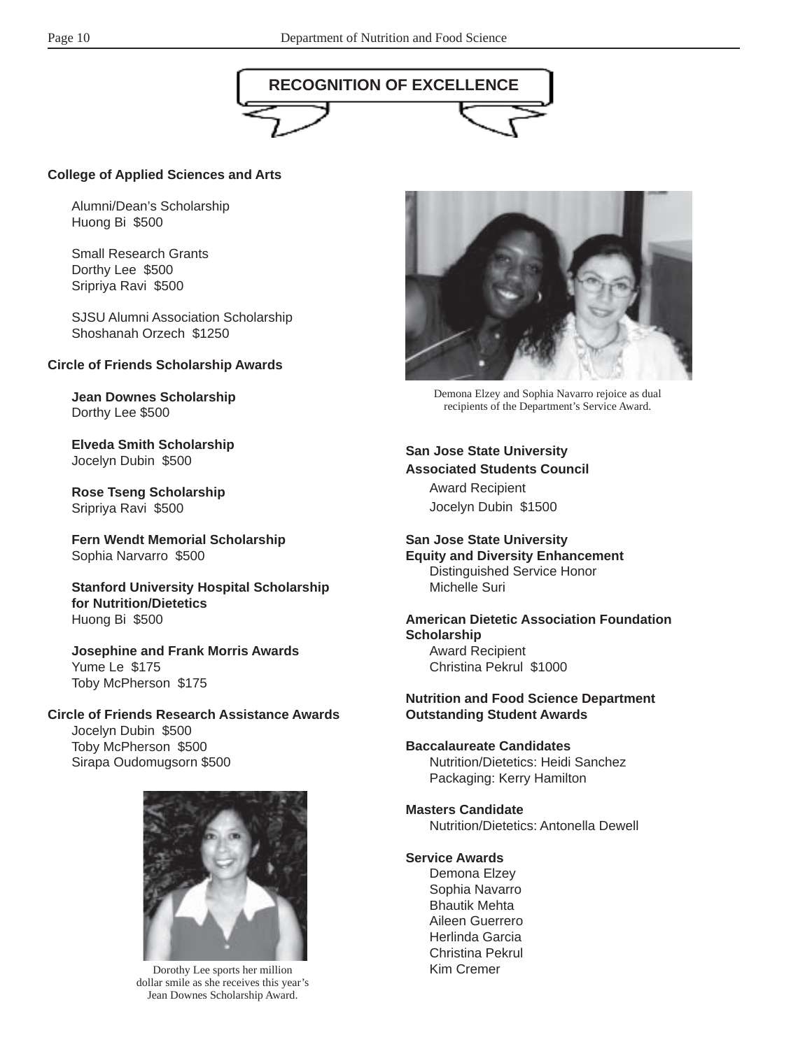

### **College of Applied Sciences and Arts**

Alumni/Dean's Scholarship Huong Bi \$500

Small Research Grants Dorthy Lee \$500 Sripriya Ravi \$500

SJSU Alumni Association Scholarship Shoshanah Orzech \$1250

#### **Circle of Friends Scholarship Awards**

**Jean Downes Scholarship** Dorthy Lee \$500

**Elveda Smith Scholarship** Jocelyn Dubin \$500

**Rose Tseng Scholarship** Sripriya Ravi \$500

**Fern Wendt Memorial Scholarship** Sophia Narvarro \$500

**Stanford University Hospital Scholarship for Nutrition/Dietetics** Huong Bi \$500

**Josephine and Frank Morris Awards** Yume Le \$175 Toby McPherson \$175

#### **Circle of Friends Research Assistance Awards** Jocelyn Dubin \$500 Toby McPherson \$500

Sirapa Oudomugsorn \$500



Dorothy Lee sports her million dollar smile as she receives this year's Jean Downes Scholarship Award.



Demona Elzey and Sophia Navarro rejoice as dual recipients of the Department's Service Award.

**San Jose State University Associated Students Council** Award Recipient Jocelyn Dubin \$1500

**San Jose State University Equity and Diversity Enhancement** Distinguished Service Honor Michelle Suri

**American Dietetic Association Foundation Scholarship** Award Recipient Christina Pekrul \$1000

#### **Nutrition and Food Science Department Outstanding Student Awards**

#### **Baccalaureate Candidates** Nutrition/Dietetics: Heidi Sanchez Packaging: Kerry Hamilton

**Masters Candidate** Nutrition/Dietetics: Antonella Dewell

#### **Service Awards**

Demona Elzey Sophia Navarro Bhautik Mehta Aileen Guerrero Herlinda Garcia Christina Pekrul Kim Cremer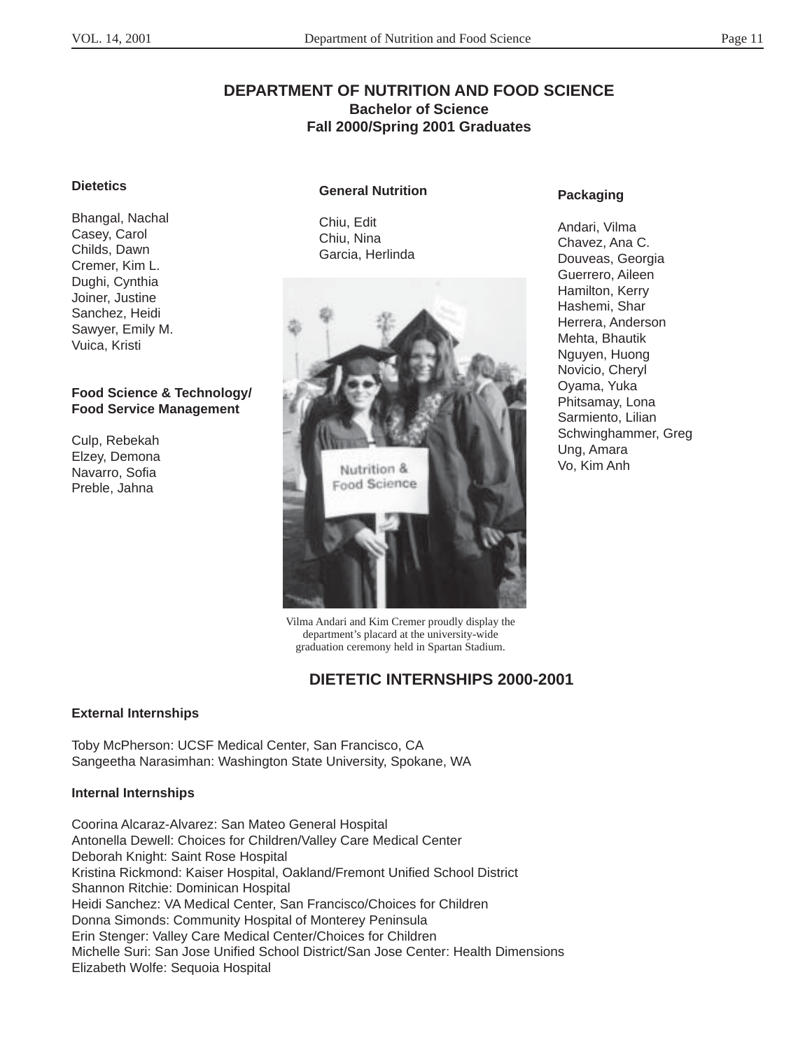### **DEPARTMENT OF NUTRITION AND FOOD SCIENCE Bachelor of Science Fall 2000/Spring 2001 Graduates**

#### **Dietetics**

Bhangal, Nachal Casey, Carol Childs, Dawn Cremer, Kim L. Dughi, Cynthia Joiner, Justine Sanchez, Heidi Sawyer, Emily M. Vuica, Kristi

#### **Food Science & Technology/ Food Service Management**

Culp, Rebekah Elzey, Demona Navarro, Sofia Preble, Jahna

#### **General Nutrition**

Chiu, Edit Chiu, Nina Garcia, Herlinda



Vilma Andari and Kim Cremer proudly display the department's placard at the university-wide graduation ceremony held in Spartan Stadium.

### **DIETETIC INTERNSHIPS 2000-2001**

#### **External Internships**

Toby McPherson: UCSF Medical Center, San Francisco, CA Sangeetha Narasimhan: Washington State University, Spokane, WA

#### **Internal Internships**

Coorina Alcaraz-Alvarez: San Mateo General Hospital Antonella Dewell: Choices for Children/Valley Care Medical Center Deborah Knight: Saint Rose Hospital Kristina Rickmond: Kaiser Hospital, Oakland/Fremont Unified School District Shannon Ritchie: Dominican Hospital Heidi Sanchez: VA Medical Center, San Francisco/Choices for Children Donna Simonds: Community Hospital of Monterey Peninsula Erin Stenger: Valley Care Medical Center/Choices for Children Michelle Suri: San Jose Unified School District/San Jose Center: Health Dimensions Elizabeth Wolfe: Sequoia Hospital

#### **Packaging**

Andari, Vilma Chavez, Ana C. Douveas, Georgia Guerrero, Aileen Hamilton, Kerry Hashemi, Shar Herrera, Anderson Mehta, Bhautik Nguyen, Huong Novicio, Cheryl Oyama, Yuka Phitsamay, Lona Sarmiento, Lilian Schwinghammer, Greg Ung, Amara Vo, Kim Anh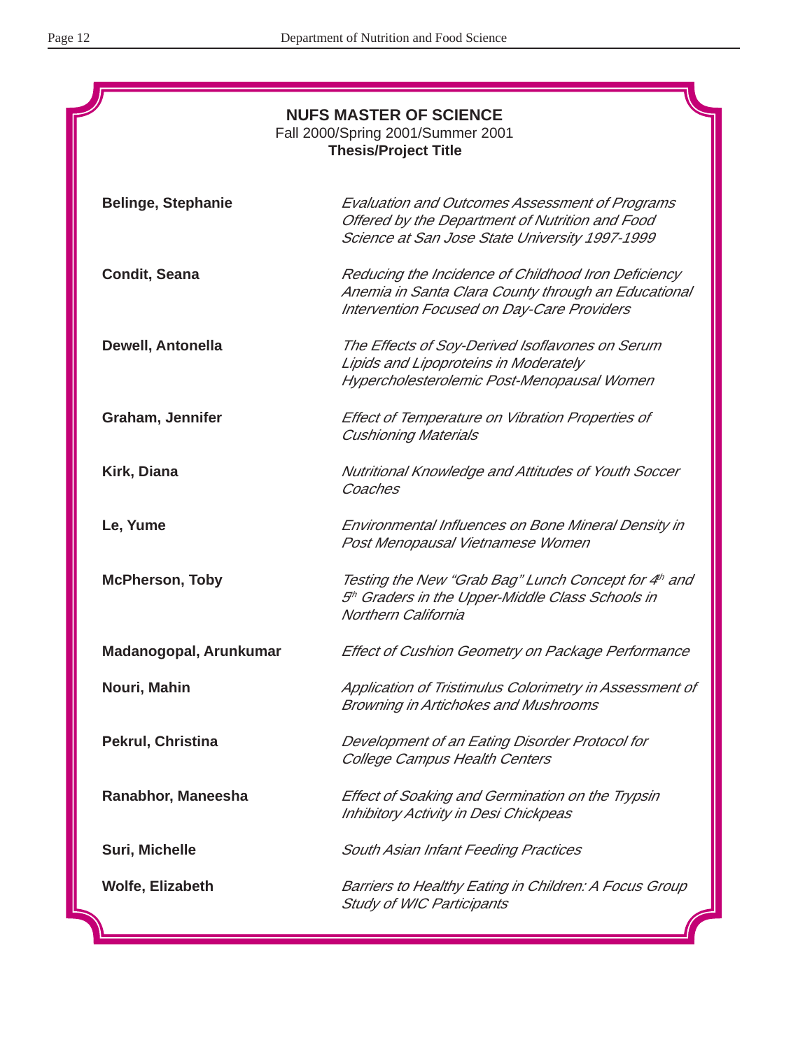| <b>NUFS MASTER OF SCIENCE</b><br>Fall 2000/Spring 2001/Summer 2001<br><b>Thesis/Project Title</b> |                                                                                                                                                            |  |  |  |  |
|---------------------------------------------------------------------------------------------------|------------------------------------------------------------------------------------------------------------------------------------------------------------|--|--|--|--|
| <b>Belinge, Stephanie</b>                                                                         | <b>Evaluation and Outcomes Assessment of Programs</b><br>Offered by the Department of Nutrition and Food<br>Science at San Jose State University 1997-1999 |  |  |  |  |
| <b>Condit, Seana</b>                                                                              | Reducing the Incidence of Childhood Iron Deficiency<br>Anemia in Santa Clara County through an Educational<br>Intervention Focused on Day-Care Providers   |  |  |  |  |
| Dewell, Antonella                                                                                 | The Effects of Soy-Derived Isoflavones on Serum<br>Lipids and Lipoproteins in Moderately<br>Hypercholesterolemic Post-Menopausal Women                     |  |  |  |  |
| Graham, Jennifer                                                                                  | Effect of Temperature on Vibration Properties of<br><b>Cushioning Materials</b>                                                                            |  |  |  |  |
| Kirk, Diana                                                                                       | Nutritional Knowledge and Attitudes of Youth Soccer<br>Coaches                                                                                             |  |  |  |  |
| Le, Yume                                                                                          | Environmental Influences on Bone Mineral Density in<br>Post Menopausal Vietnamese Women                                                                    |  |  |  |  |
| <b>McPherson, Toby</b>                                                                            | Testing the New "Grab Bag" Lunch Concept for 4th and<br>5 <sup>th</sup> Graders in the Upper-Middle Class Schools in<br><b>Northern California</b>         |  |  |  |  |
| Madanogopal, Arunkumar                                                                            | Effect of Cushion Geometry on Package Performance                                                                                                          |  |  |  |  |
| Nouri, Mahin                                                                                      | Application of Tristimulus Colorimetry in Assessment of<br>Browning in Artichokes and Mushrooms                                                            |  |  |  |  |
| Pekrul, Christina                                                                                 | Development of an Eating Disorder Protocol for<br>College Campus Health Centers                                                                            |  |  |  |  |
| Ranabhor, Maneesha                                                                                | Effect of Soaking and Germination on the Trypsin<br>Inhibitory Activity in Desi Chickpeas                                                                  |  |  |  |  |
| Suri, Michelle                                                                                    | South Asian Infant Feeding Practices                                                                                                                       |  |  |  |  |
| Wolfe, Elizabeth                                                                                  | Barriers to Healthy Eating in Children: A Focus Group<br><b>Study of WIC Participants</b>                                                                  |  |  |  |  |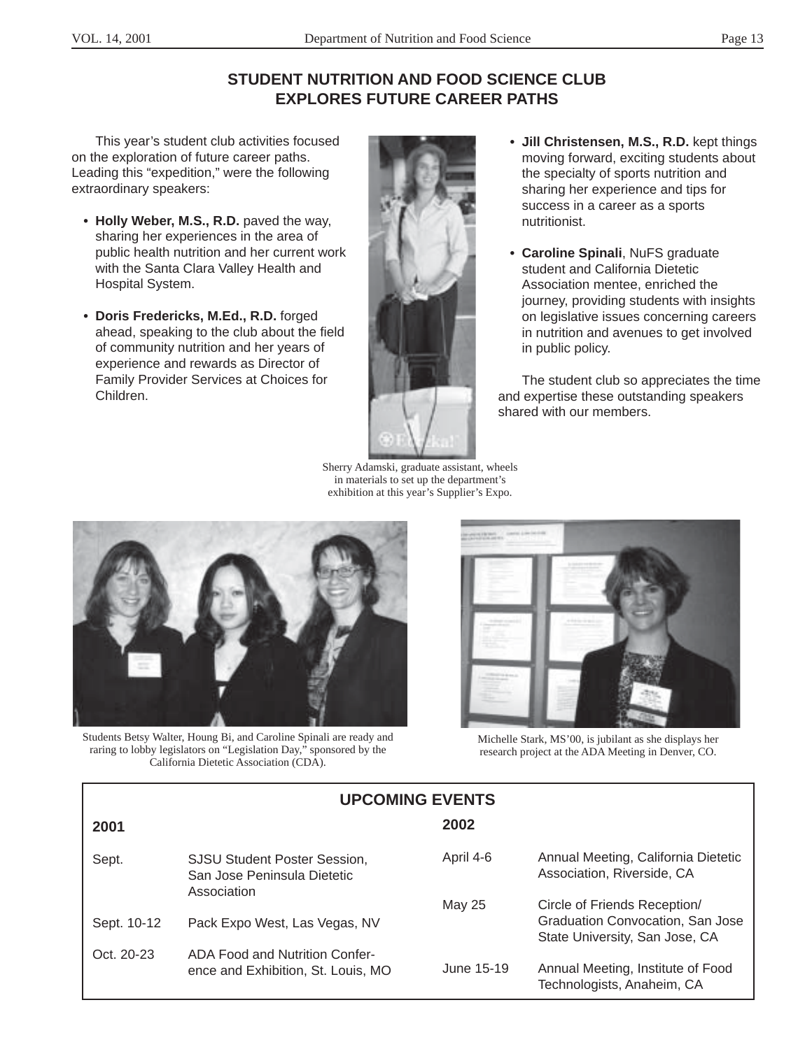# **STUDENT NUTRITION AND FOOD SCIENCE CLUB EXPLORES FUTURE CAREER PATHS**

This year's student club activities focused on the exploration of future career paths. Leading this "expedition," were the following extraordinary speakers:

- **• Holly Weber, M.S., R.D.** paved the way, sharing her experiences in the area of public health nutrition and her current work with the Santa Clara Valley Health and Hospital System.
- **• Doris Fredericks, M.Ed., R.D.** forged ahead, speaking to the club about the field of community nutrition and her years of experience and rewards as Director of Family Provider Services at Choices for Children.



- **• Jill Christensen, M.S., R.D.** kept things moving forward, exciting students about the specialty of sports nutrition and sharing her experience and tips for success in a career as a sports nutritionist.
- **• Caroline Spinali**, NuFS graduate student and California Dietetic Association mentee, enriched the journey, providing students with insiahts on legislative issues concerning careers in nutrition and avenues to get involved in public policy.

The student club so appreciates the time and expertise these outstanding speakers shared with our members.

Sherry Adamski, graduate assistant, wheels in materials to set up the department's exhibition at this year's Supplier's Expo.



Students Betsy Walter, Houng Bi, and Caroline Spinali are ready and raring to lobby legislators on "Legislation Day," sponsored by the California Dietetic Association (CDA).



Michelle Stark, MS'00, is jubilant as she displays her research project at the ADA Meeting in Denver, CO.

| <b>UPCOMING EVENTS</b> |                                                                                   |            |                                                                                                           |  |  |
|------------------------|-----------------------------------------------------------------------------------|------------|-----------------------------------------------------------------------------------------------------------|--|--|
| 2001                   |                                                                                   | 2002       |                                                                                                           |  |  |
| Sept.                  | <b>SJSU Student Poster Session,</b><br>San Jose Peninsula Dietetic<br>Association | April 4-6  | Annual Meeting, California Dietetic<br>Association, Riverside, CA                                         |  |  |
| Sept. 10-12            | Pack Expo West, Las Vegas, NV                                                     | May 25     | Circle of Friends Reception/<br><b>Graduation Convocation, San Jose</b><br>State University, San Jose, CA |  |  |
| Oct. 20-23             | ADA Food and Nutrition Confer-<br>ence and Exhibition, St. Louis, MO              | June 15-19 | Annual Meeting, Institute of Food<br>Technologists, Anaheim, CA                                           |  |  |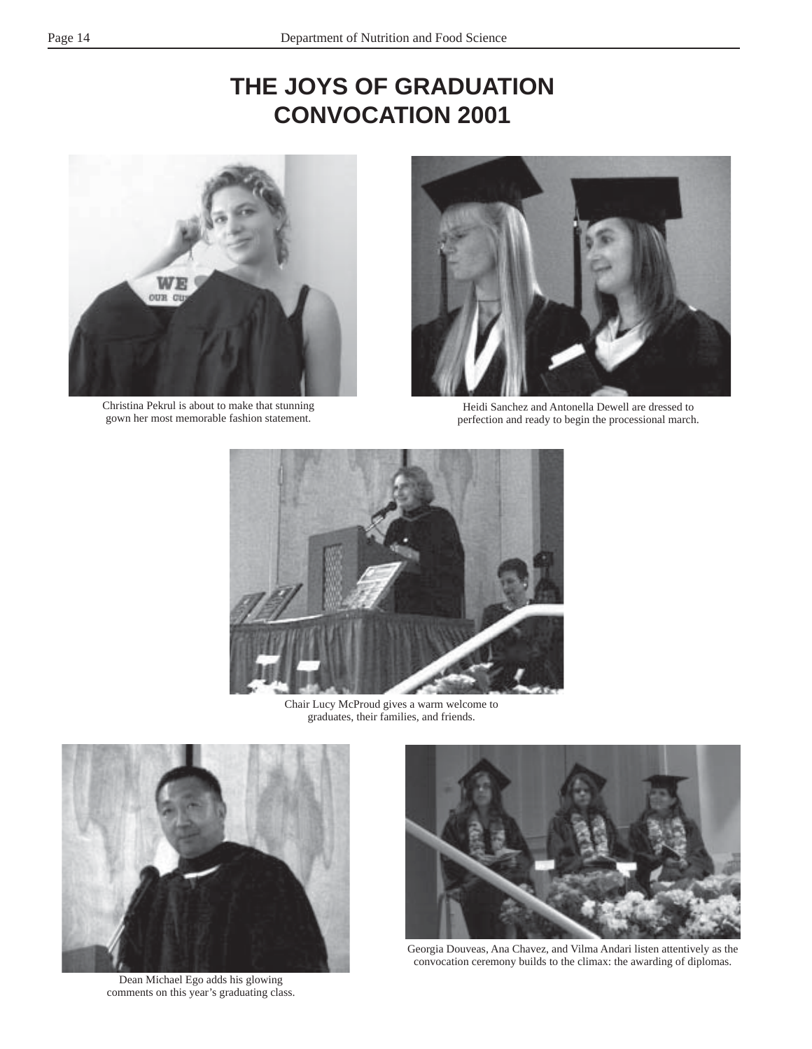# **THE JOYS OF GRADUATION CONVOCATION 2001**



Christina Pekrul is about to make that stunning gown her most memorable fashion statement.



Heidi Sanchez and Antonella Dewell are dressed to perfection and ready to begin the processional march.



Chair Lucy McProud gives a warm welcome to graduates, their families, and friends.



Dean Michael Ego adds his glowing comments on this year's graduating class.



Georgia Douveas, Ana Chavez, and Vilma Andari listen attentively as the convocation ceremony builds to the climax: the awarding of diplomas.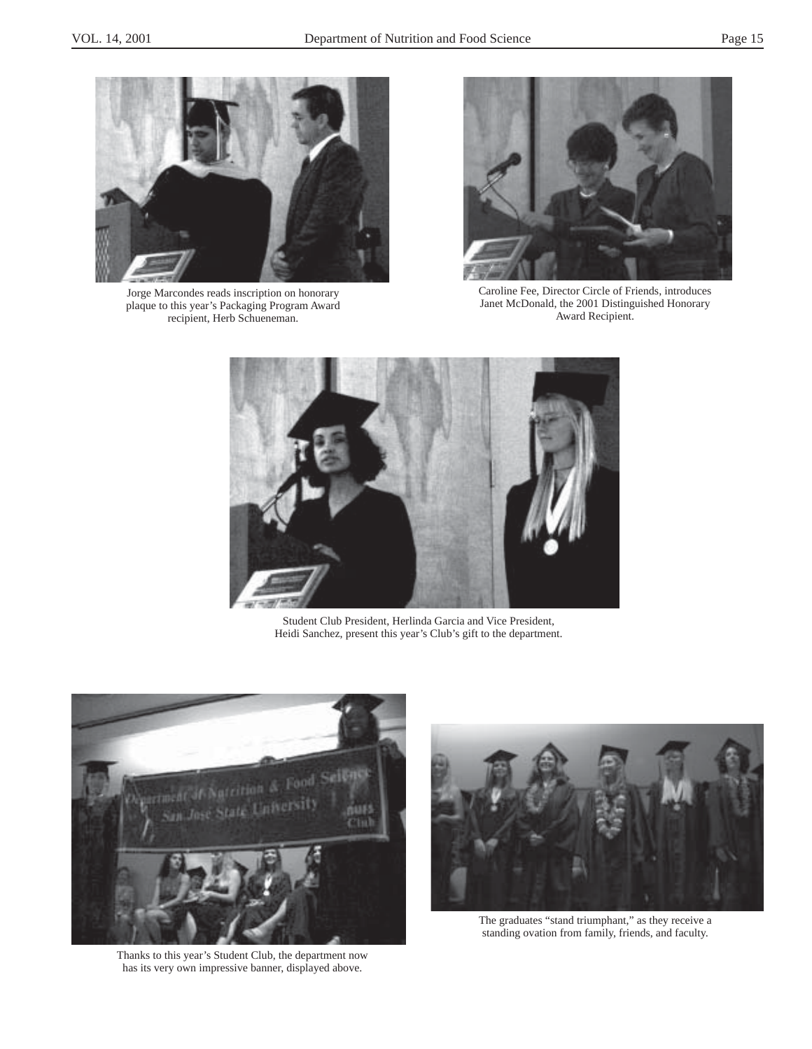

Jorge Marcondes reads inscription on honorary plaque to this year's Packaging Program Award recipient, Herb Schueneman.



Caroline Fee, Director Circle of Friends, introduces Janet McDonald, the 2001 Distinguished Honorary Award Recipient.



Student Club President, Herlinda Garcia and Vice President, Heidi Sanchez, present this year's Club's gift to the department.



Thanks to this year's Student Club, the department now has its very own impressive banner, displayed above.



The graduates "stand triumphant," as they receive a standing ovation from family, friends, and faculty.